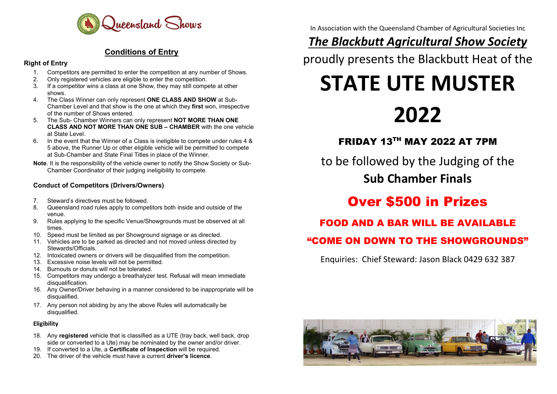

#### Conditions of Entry

#### Right of Entry

- 1. Competitors are permitted to enter the competition at any number of Shows.
- 2. Only registered vehicles are eligible to enter the competition.<br>3. If a competitor wins a class at one Show, they may still competition.
- If a competitor wins a class at one Show, they may still compete at other shows.
- 4. The Class Winner can only represent ONE CLASS AND SHOW at Sub-Chamber Level and that show is the one at which they first won, irrespective of the number of Shows entered.
- 5. The Sub- Chamber Winners can only represent NOT MORE THAN ONE CLASS AND NOT MORE THAN ONE SUB – CHAMBER with the one vehicle at State Level.
- 6. In the event that the Winner of a Class is ineligible to compete under rules 4 & 5 above, the Runner Up or other eligible vehicle will be permitted to compete at Sub-Chamber and State Final Titles in place of the Winner.
- Note. It is the responsibility of the vehicle owner to notify the Show Society or Sub-Chamber Coordinator of their judging ineligibility to compete.

#### Conduct of Competitors (Drivers/Owners)

- 7. Steward's directives must be followed.
- 8. Queensland road rules apply to competitors both inside and outside of the venue.
- 9. Rules applying to the specific Venue/Showgrounds must be observed at all times.
- 10. Speed must be limited as per Showground signage or as directed.
- 11. Vehicles are to be parked as directed and not moved unless directed by Stewards/Officials.
- 12. Intoxicated owners or drivers will be disqualified from the competition.
- 13. Excessive noise levels will not be permitted.
- 14. Burnouts or donuts will not be tolerated.
- 15. Competitors may undergo a breathalyzer test. Refusal will mean immediate disqualification.
- 16. Any Owner/Driver behaving in a manner considered to be inappropriate will be disqualified.
- 17. Any person not abiding by any the above Rules will automatically be disqualified.

#### Eligibility

- 18. Any registered vehicle that is classified as a UTE (tray back, well back, drop side or converted to a Ute) may be nominated by the owner and/or driver.
- 19. If converted to a Ute, a Certificate of Inspection will be required.
- 20. The driver of the vehicle must have a current **driver's licence**.

In Association with the Queensland Chamber of Agricultural Societies Inc

# **The Blackbutt Agricultural Show Society**

proudly presents the Blackbutt Heat of the

# STATE UTE MUSTER

# 2022

FRIDAY 13TH MAY 2022 AT 7PM

to be followed by the Judging of the Sub Chamber Finals

# Over \$500 in Prizes

# FOOD AND A BAR WILL BE AVAILABLE

# "COME ON DOWN TO THE SHOWGROUNDS"

Enquiries: Chief Steward: Jason Black 0429 632 387